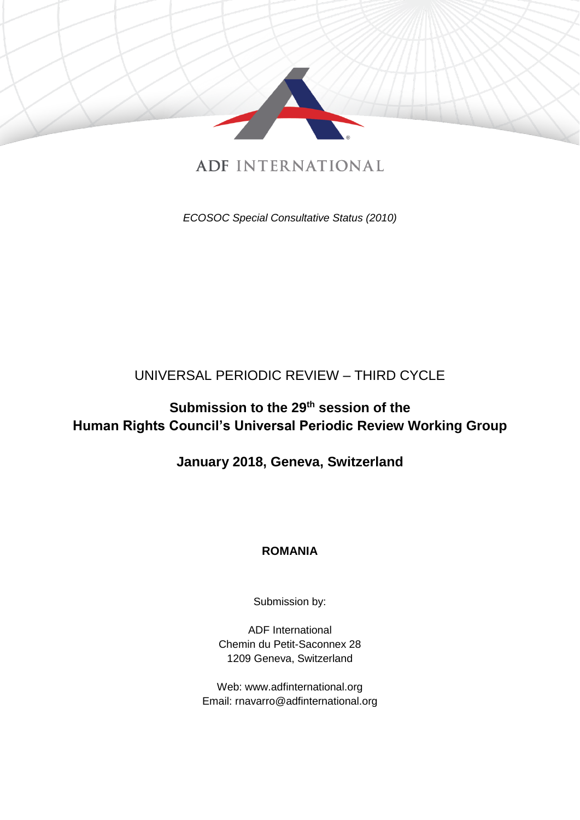

# **ADF INTERNATIONAL**

*ECOSOC Special Consultative Status (2010)*

## UNIVERSAL PERIODIC REVIEW – THIRD CYCLE

# **Submission to the 29th session of the Human Rights Council's Universal Periodic Review Working Group**

## **January 2018, Geneva, Switzerland**

## **ROMANIA**

Submission by:

ADF International Chemin du Petit-Saconnex 28 1209 Geneva, Switzerland

Web: www.adfinternational.org Email: rnavarro@adfinternational.org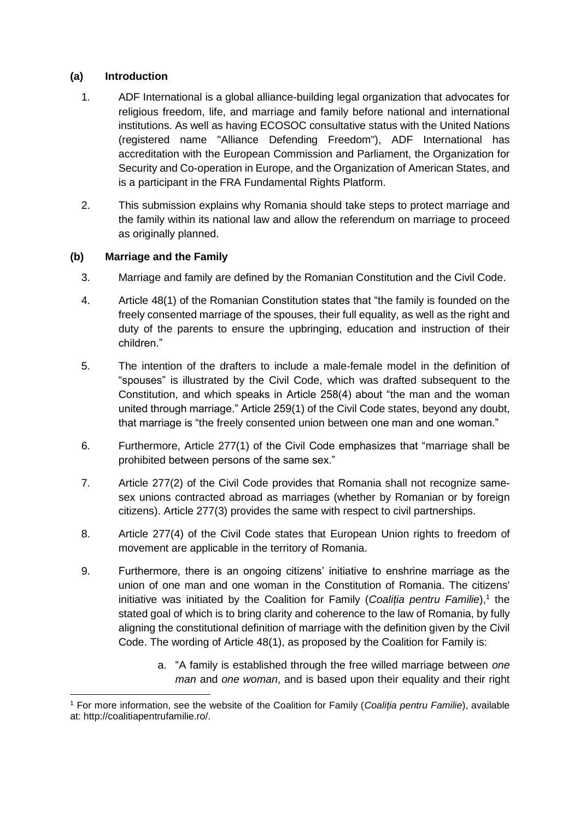### **(a) Introduction**

- 1. ADF International is a global alliance-building legal organization that advocates for religious freedom, life, and marriage and family before national and international institutions. As well as having ECOSOC consultative status with the United Nations (registered name "Alliance Defending Freedom"), ADF International has accreditation with the European Commission and Parliament, the Organization for Security and Co-operation in Europe, and the Organization of American States, and is a participant in the FRA Fundamental Rights Platform.
- 2. This submission explains why Romania should take steps to protect marriage and the family within its national law and allow the referendum on marriage to proceed as originally planned.

#### **(b) Marriage and the Family**

- 3. Marriage and family are defined by the Romanian Constitution and the Civil Code.
- 4. Article 48(1) of the Romanian Constitution states that "the family is founded on the freely consented marriage of the spouses, their full equality, as well as the right and duty of the parents to ensure the upbringing, education and instruction of their children."
- 5. The intention of the drafters to include a male-female model in the definition of "spouses" is illustrated by the Civil Code, which was drafted subsequent to the Constitution, and which speaks in Article 258(4) about "the man and the woman united through marriage." Article 259(1) of the Civil Code states, beyond any doubt, that marriage is "the freely consented union between one man and one woman."
- 6. Furthermore, Article 277(1) of the Civil Code emphasizes that "marriage shall be prohibited between persons of the same sex."
- 7. Article 277(2) of the Civil Code provides that Romania shall not recognize samesex unions contracted abroad as marriages (whether by Romanian or by foreign citizens). Article 277(3) provides the same with respect to civil partnerships.
- 8. Article 277(4) of the Civil Code states that European Union rights to freedom of movement are applicable in the territory of Romania.
- 9. Furthermore, there is an ongoing citizens' initiative to enshrine marriage as the union of one man and one woman in the Constitution of Romania. The citizens' initiative was initiated by the Coalition for Family (Coaliția pentru Familie),<sup>1</sup> the stated goal of which is to bring clarity and coherence to the law of Romania, by fully aligning the constitutional definition of marriage with the definition given by the Civil Code. The wording of Article 48(1), as proposed by the Coalition for Family is:
	- a. "A family is established through the free willed marriage between *one man* and *one woman*, and is based upon their equality and their right

<sup>-</sup><sup>1</sup> For more information, see the website of the Coalition for Family (*Coaliția pentru Familie*), available at: http://coalitiapentrufamilie.ro/.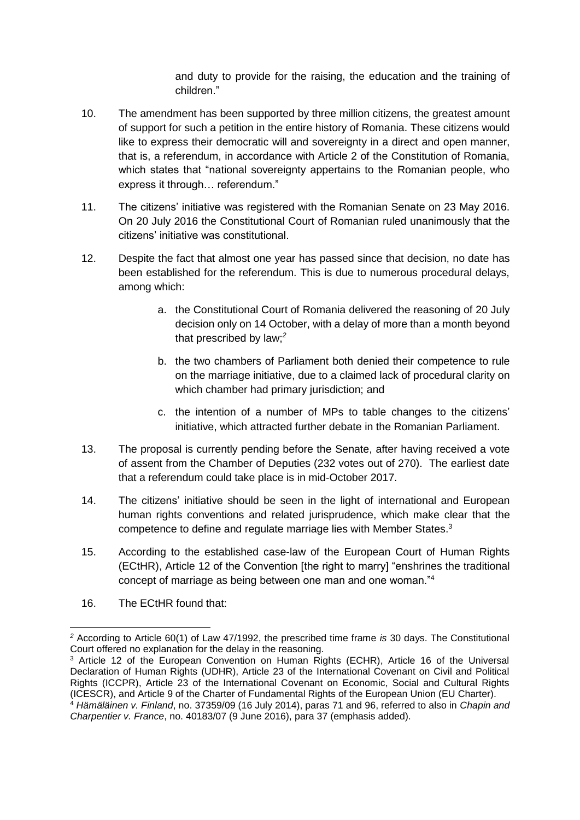and duty to provide for the raising, the education and the training of children."

- 10. The amendment has been supported by three million citizens, the greatest amount of support for such a petition in the entire history of Romania. These citizens would like to express their democratic will and sovereignty in a direct and open manner, that is, a referendum, in accordance with Article 2 of the Constitution of Romania, which states that "national sovereignty appertains to the Romanian people, who express it through… referendum."
- 11. The citizens' initiative was registered with the Romanian Senate on 23 May 2016. On 20 July 2016 the Constitutional Court of Romanian ruled unanimously that the citizens' initiative was constitutional.
- 12. Despite the fact that almost one year has passed since that decision, no date has been established for the referendum. This is due to numerous procedural delays, among which:
	- a. the Constitutional Court of Romania delivered the reasoning of 20 July decision only on 14 October, with a delay of more than a month beyond that prescribed by law;*<sup>2</sup>*
	- b. the two chambers of Parliament both denied their competence to rule on the marriage initiative, due to a claimed lack of procedural clarity on which chamber had primary jurisdiction; and
	- c. the intention of a number of MPs to table changes to the citizens' initiative, which attracted further debate in the Romanian Parliament.
- 13. The proposal is currently pending before the Senate, after having received a vote of assent from the Chamber of Deputies (232 votes out of 270). The earliest date that a referendum could take place is in mid-October 2017.
- 14. The citizens' initiative should be seen in the light of international and European human rights conventions and related jurisprudence, which make clear that the competence to define and regulate marriage lies with Member States.<sup>3</sup>
- 15. According to the established case-law of the European Court of Human Rights (ECtHR), Article 12 of the Convention [the right to marry] "enshrines the traditional concept of marriage as being between one man and one woman."<sup>4</sup>
- 16. The ECtHR found that:

-

*<sup>2</sup>* According to Article 60(1) of Law 47/1992, the prescribed time frame *is* 30 days. The Constitutional Court offered no explanation for the delay in the reasoning.

<sup>3</sup> Article 12 of the European Convention on Human Rights (ECHR), Article 16 of the Universal Declaration of Human Rights (UDHR), Article 23 of the International Covenant on Civil and Political Rights (ICCPR), Article 23 of the International Covenant on Economic, Social and Cultural Rights (ICESCR), and Article 9 of the Charter of Fundamental Rights of the European Union (EU Charter).

<sup>4</sup> *Hämäläinen v. Finland*, no. 37359/09 (16 July 2014), paras 71 and 96, referred to also in *Chapin and Charpentier v. France*, no. 40183/07 (9 June 2016), para 37 (emphasis added).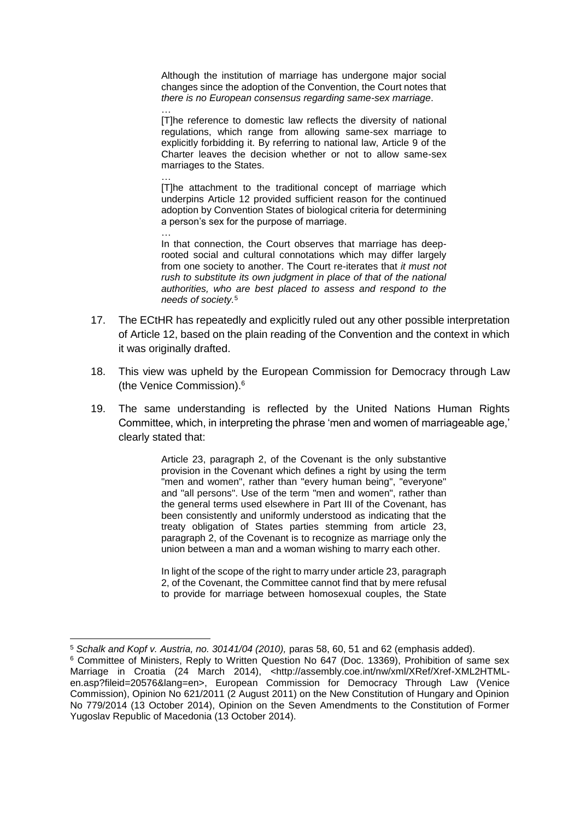Although the institution of marriage has undergone major social changes since the adoption of the Convention, the Court notes that *there is no European consensus regarding same-sex marriage*.

… [T]he reference to domestic law reflects the diversity of national regulations, which range from allowing same-sex marriage to explicitly forbidding it. By referring to national law, Article 9 of the Charter leaves the decision whether or not to allow same-sex marriages to the States.

… [T]he attachment to the traditional concept of marriage which underpins Article 12 provided sufficient reason for the continued adoption by Convention States of biological criteria for determining a person's sex for the purpose of marriage.

… In that connection, the Court observes that marriage has deeprooted social and cultural connotations which may differ largely from one society to another. The Court re-iterates that *it must not rush to substitute its own judgment in place of that of the national authorities, who are best placed to assess and respond to the needs of society.*<sup>5</sup>

- 17. The ECtHR has repeatedly and explicitly ruled out any other possible interpretation of Article 12, based on the plain reading of the Convention and the context in which it was originally drafted.
- 18. This view was upheld by the European Commission for Democracy through Law (the Venice Commission).<sup>6</sup>
- 19. The same understanding is reflected by the United Nations Human Rights Committee, which, in interpreting the phrase 'men and women of marriageable age,' clearly stated that:

Article 23, paragraph 2, of the Covenant is the only substantive provision in the Covenant which defines a right by using the term "men and women", rather than "every human being", "everyone" and "all persons". Use of the term "men and women", rather than the general terms used elsewhere in Part III of the Covenant, has been consistently and uniformly understood as indicating that the treaty obligation of States parties stemming from article 23, paragraph 2, of the Covenant is to recognize as marriage only the union between a man and a woman wishing to marry each other.

In light of the scope of the right to marry under article 23, paragraph 2, of the Covenant, the Committee cannot find that by mere refusal to provide for marriage between homosexual couples, the State

-

<sup>5</sup> *Schalk and Kopf v. Austria, no. 30141/04 (2010),* paras 58, 60, 51 and 62 (emphasis added).

<sup>6</sup> Committee of Ministers, Reply to Written Question No 647 (Doc. 13369), Prohibition of same sex Marriage in Croatia (24 March 2014), <http://assembly.coe.int/nw/xml/XRef/Xref-XML2HTMLen.asp?fileid=20576&lang=en>, European Commission for Democracy Through Law (Venice Commission), Opinion No 621/2011 (2 August 2011) on the New Constitution of Hungary and Opinion No 779/2014 (13 October 2014), Opinion on the Seven Amendments to the Constitution of Former Yugoslav Republic of Macedonia (13 October 2014).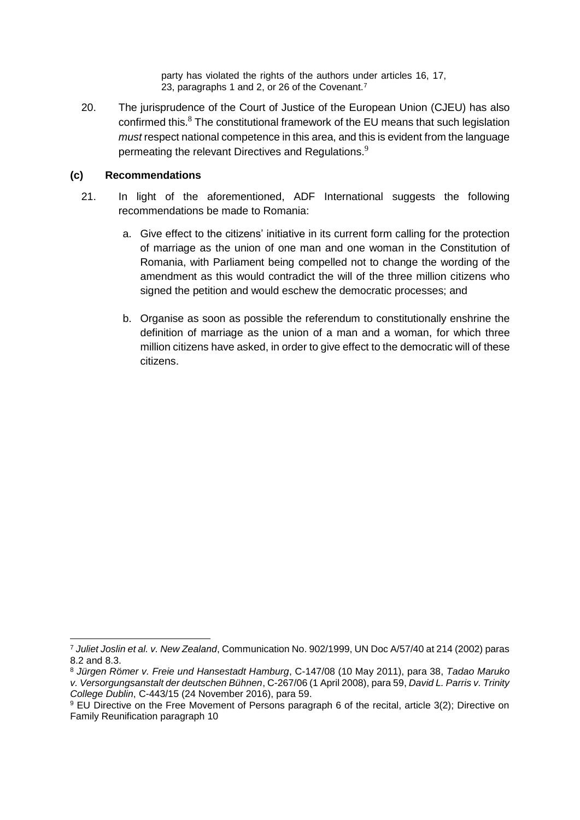party has violated the rights of the authors under articles 16, 17, 23, paragraphs 1 and 2, or 26 of the Covenant.<sup>7</sup>

20. The jurisprudence of the Court of Justice of the European Union (CJEU) has also confirmed this. $8$  The constitutional framework of the EU means that such legislation *must* respect national competence in this area, and this is evident from the language permeating the relevant Directives and Regulations.<sup>9</sup>

#### **(c) Recommendations**

- 21. In light of the aforementioned, ADF International suggests the following recommendations be made to Romania:
	- a. Give effect to the citizens' initiative in its current form calling for the protection of marriage as the union of one man and one woman in the Constitution of Romania, with Parliament being compelled not to change the wording of the amendment as this would contradict the will of the three million citizens who signed the petition and would eschew the democratic processes; and
	- b. Organise as soon as possible the referendum to constitutionally enshrine the definition of marriage as the union of a man and a woman, for which three million citizens have asked, in order to give effect to the democratic will of these citizens.

<sup>-</sup><sup>7</sup> *Juliet Joslin et al. v. New Zealand*, Communication No. 902/1999, UN Doc A/57/40 at 214 (2002) paras 8.2 and 8.3.

<sup>8</sup> *Jürgen Römer v. Freie und Hansestadt Hamburg*, C-147/08 (10 May 2011), para 38, *Tadao Maruko v. Versorgungsanstalt der deutschen Bühnen*, C-267/06 (1 April 2008), para 59, *David L. Parris v. Trinity College Dublin*, C-443/15 (24 November 2016), para 59.

<sup>9</sup> EU Directive on the Free Movement of Persons paragraph 6 of the recital, article 3(2); Directive on Family Reunification paragraph 10